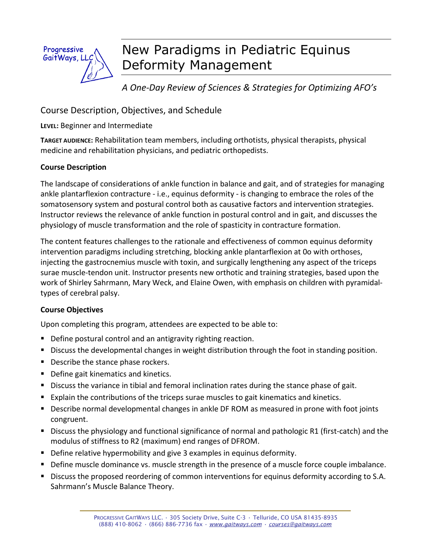

# New Paradigms in Pediatric Equinus Deformity Management

*A One-Day Review of Sciences & Strategies for Optimizing AFO's* 

Course Description, Objectives, and Schedule

**LEVEL:** Beginner and Intermediate

**TARGET AUDIENCE:** Rehabilitation team members, including orthotists, physical therapists, physical medicine and rehabilitation physicians, and pediatric orthopedists.

## **Course Description**

The landscape of considerations of ankle function in balance and gait, and of strategies for managing ankle plantarflexion contracture - i.e., equinus deformity - is changing to embrace the roles of the somatosensory system and postural control both as causative factors and intervention strategies. Instructor reviews the relevance of ankle function in postural control and in gait, and discusses the physiology of muscle transformation and the role of spasticity in contracture formation.

The content features challenges to the rationale and effectiveness of common equinus deformity intervention paradigms including stretching, blocking ankle plantarflexion at 0o with orthoses, injecting the gastrocnemius muscle with toxin, and surgically lengthening any aspect of the triceps surae muscle-tendon unit. Instructor presents new orthotic and training strategies, based upon the work of Shirley Sahrmann, Mary Weck, and Elaine Owen, with emphasis on children with pyramidaltypes of cerebral palsy.

## **Course Objectives**

Upon completing this program, attendees are expected to be able to:

- **Define postural control and an antigravity righting reaction.**
- **Discuss the developmental changes in weight distribution through the foot in standing position.**
- Describe the stance phase rockers.
- **Define gait kinematics and kinetics.**
- **Discuss the variance in tibial and femoral inclination rates during the stance phase of gait.**
- **Explain the contributions of the triceps surae muscles to gait kinematics and kinetics.**
- **Describe normal developmental changes in ankle DF ROM as measured in prone with foot joints** congruent.
- **Discuss the physiology and functional significance of normal and pathologic R1 (first-catch) and the** modulus of stiffness to R2 (maximum) end ranges of DFROM.
- **•** Define relative hypermobility and give 3 examples in equinus deformity.
- **Define muscle dominance vs. muscle strength in the presence of a muscle force couple imbalance.**
- **Discuss the proposed reordering of common interventions for equinus deformity according to S.A.** Sahrmann's Muscle Balance Theory.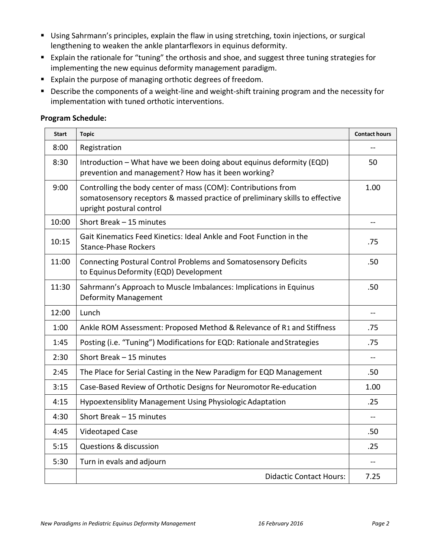- **Using Sahrmann's principles, explain the flaw in using stretching, toxin injections, or surgical** lengthening to weaken the ankle plantarflexors in equinus deformity.
- **Explain the rationale for "tuning" the orthosis and shoe, and suggest three tuning strategies for** implementing the new equinus deformity management paradigm.
- **Explain the purpose of managing orthotic degrees of freedom.**
- **•** Describe the components of a weight-line and weight-shift training program and the necessity for implementation with tuned orthotic interventions.

#### **Program Schedule:**

| <b>Start</b> | <b>Topic</b>                                                                                                                                                              | <b>Contact hours</b> |
|--------------|---------------------------------------------------------------------------------------------------------------------------------------------------------------------------|----------------------|
| 8:00         | Registration                                                                                                                                                              |                      |
| 8:30         | Introduction - What have we been doing about equinus deformity (EQD)<br>prevention and management? How has it been working?                                               | 50                   |
| 9:00         | Controlling the body center of mass (COM): Contributions from<br>somatosensory receptors & massed practice of preliminary skills to effective<br>upright postural control | 1.00                 |
| 10:00        | Short Break - 15 minutes                                                                                                                                                  |                      |
| 10:15        | Gait Kinematics Feed Kinetics: Ideal Ankle and Foot Function in the<br><b>Stance-Phase Rockers</b>                                                                        | .75                  |
| 11:00        | Connecting Postural Control Problems and Somatosensory Deficits<br>to Equinus Deformity (EQD) Development                                                                 | .50                  |
| 11:30        | Sahrmann's Approach to Muscle Imbalances: Implications in Equinus<br><b>Deformity Management</b>                                                                          | .50                  |
| 12:00        | Lunch                                                                                                                                                                     | $-$                  |
| 1:00         | Ankle ROM Assessment: Proposed Method & Relevance of R1 and Stiffness                                                                                                     | .75                  |
| 1:45         | Posting (i.e. "Tuning") Modifications for EQD: Rationale and Strategies                                                                                                   | .75                  |
| 2:30         | Short Break - 15 minutes                                                                                                                                                  | $\overline{a}$       |
| 2:45         | The Place for Serial Casting in the New Paradigm for EQD Management                                                                                                       | .50                  |
| 3:15         | Case-Based Review of Orthotic Designs for Neuromotor Re-education                                                                                                         | 1.00                 |
| 4:15         | Hypoextensiblity Management Using Physiologic Adaptation                                                                                                                  | .25                  |
| 4:30         | Short Break - 15 minutes                                                                                                                                                  | --                   |
| 4:45         | Videotaped Case                                                                                                                                                           | .50                  |
| 5:15         | <b>Questions &amp; discussion</b>                                                                                                                                         | .25                  |
| 5:30         | Turn in evals and adjourn                                                                                                                                                 | $\overline{a}$       |
|              | <b>Didactic Contact Hours:</b>                                                                                                                                            | 7.25                 |